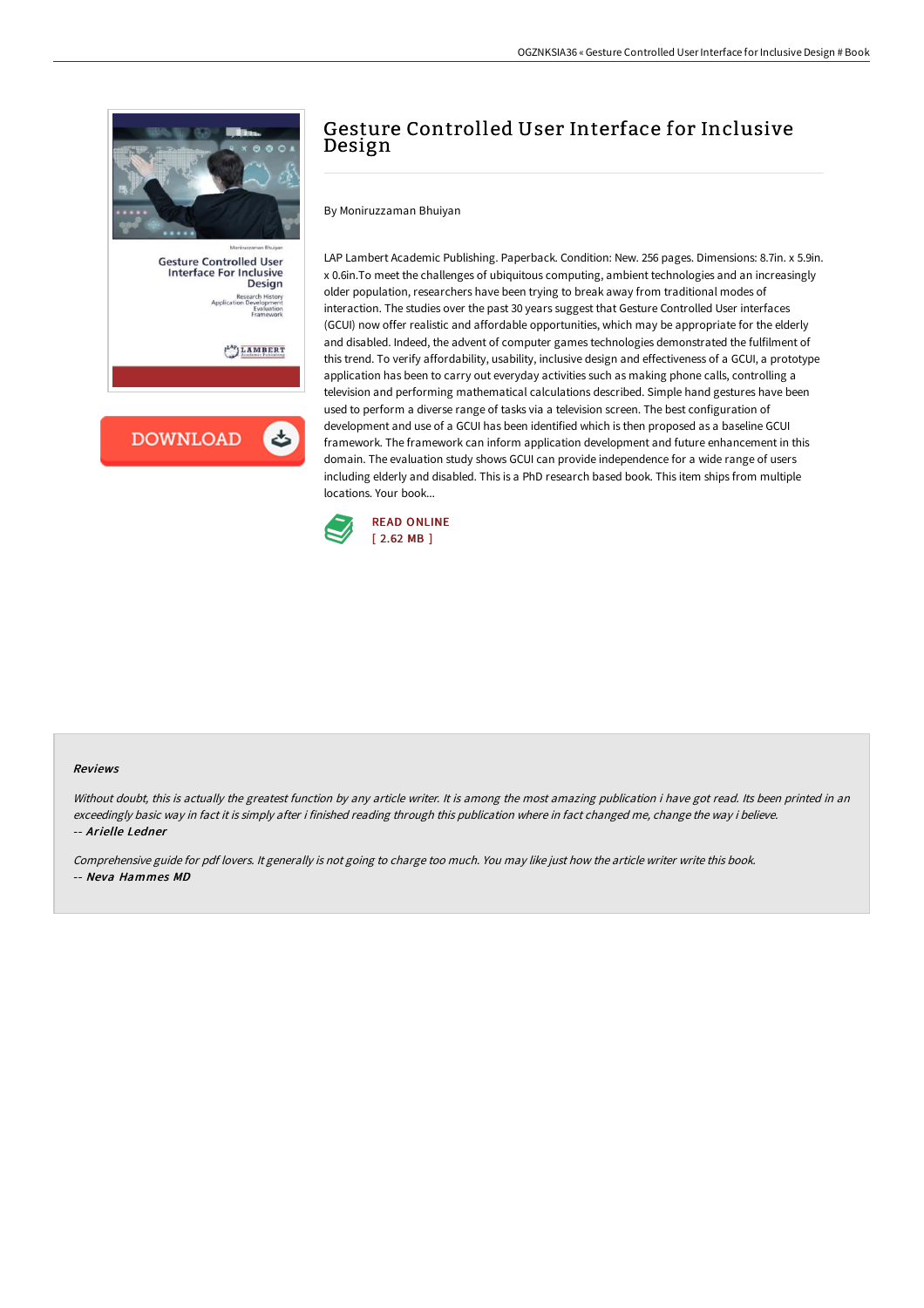

**Gesture Controlled User Interface For Inclusive** Design

 $\mathcal{L}^{\mathrm{Ap}}$  LAMBERT

**DOWNLOAD** 

# Gesture Controlled User Interface for Inclusive Design

By Moniruzzaman Bhuiyan

LAP Lambert Academic Publishing. Paperback. Condition: New. 256 pages. Dimensions: 8.7in. x 5.9in. x 0.6in.To meet the challenges of ubiquitous computing, ambient technologies and an increasingly older population, researchers have been trying to break away from traditional modes of interaction. The studies over the past 30 years suggest that Gesture Controlled User interfaces (GCUI) now offer realistic and affordable opportunities, which may be appropriate for the elderly and disabled. Indeed, the advent of computer games technologies demonstrated the fulfilment of this trend. To verify affordability, usability, inclusive design and effectiveness of a GCUI, a prototype application has been to carry out everyday activities such as making phone calls, controlling a television and performing mathematical calculations described. Simple hand gestures have been used to perform a diverse range of tasks via a television screen. The best configuration of development and use of a GCUI has been identified which is then proposed as a baseline GCUI framework. The framework can inform application development and future enhancement in this domain. The evaluation study shows GCUI can provide independence for a wide range of users including elderly and disabled. This is a PhD research based book. This item ships from multiple locations. Your book...



#### Reviews

Without doubt, this is actually the greatest function by any article writer. It is among the most amazing publication i have got read. Its been printed in an exceedingly basic way in fact it is simply after i finished reading through this publication where in fact changed me, change the way i believe. -- Arielle Ledner

Comprehensive guide for pdf lovers. It generally is not going to charge too much. You may like just how the article writer write this book. -- Neva Hammes MD